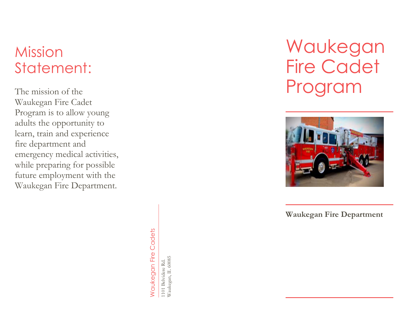## **Mission** Statement:

The mission of the Waukegan Fire Cadet Program is to allow young adults the opportunity to learn, train and experience fire department and emergency medical activities, while preparing for possible future employment with the Waukegan Fire Department.

> **Naukegan Fire Cadets** Waukegan Fire Cadets

1101 Belvidere Rd.<br>Waukegan, IL 60085 Waukegan, IL 60085 1101 Belvidere Rd.

# Waukegan Fire Cadet Program



**Waukegan Fire Department**